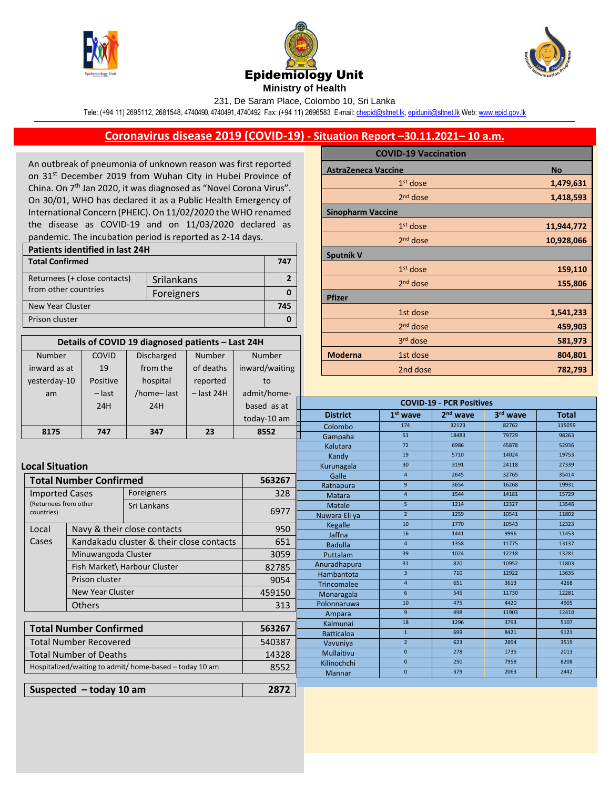

Number

COVID





231, De Saram Place, Colombo 10, Sri Lanka

Tele: (+94 11) 2695112, 2681548, 4740490, 4740491, 4740492 Fax: (+94 11) 2696583 E-mail[: chepid@sltnet.lk,](mailto:chepi@sltnet.lk) [epidunit@sltnet.lk](mailto:epidunit@sltnet.lk) Web[: www.epid.gov.lk](http://www.epid.gov.lk/)

## **Coronavirus disease 2019 (COVID-19) - Situation Report –30.11.2021– 10 a.m.**

An outbreak of pneumonia of unknown reason was first reported on 31<sup>st</sup> December 2019 from Wuhan City in Hubei Province of China. On 7<sup>th</sup> Jan 2020, it was diagnosed as "Novel Corona Virus". On 30/01, WHO has declared it as a Public Health Emergency of International Concern (PHEIC). On 11/02/2020 the WHO renamed the disease as COVID-19 and on 11/03/2020 declared as pandemic. The incubation period is reported as 2-14 days.

| <b>Patients identified in last 24H</b> |            |  |  |  |
|----------------------------------------|------------|--|--|--|
| <b>Total Confirmed</b>                 |            |  |  |  |
| Returnees (+ close contacts)           | Srilankans |  |  |  |
| from other countries                   | Foreigners |  |  |  |
| <b>New Year Cluster</b>                |            |  |  |  |
| Prison cluster                         |            |  |  |  |

**Details of COVID 19 diagnosed patients – Last 24H**

Number

Number

Discharged

|                            | <b>COVID-19 Vaccination</b> |            |
|----------------------------|-----------------------------|------------|
| <b>AstraZeneca Vaccine</b> |                             | <b>No</b>  |
|                            | $1st$ dose                  | 1,479,631  |
|                            | $2nd$ dose                  | 1,418,593  |
| <b>Sinopharm Vaccine</b>   |                             |            |
|                            | $1st$ dose                  | 11,944,772 |
|                            | 2 <sup>nd</sup> dose        | 10,928,066 |
| <b>Sputnik V</b>           |                             |            |
|                            | $1st$ dose                  | 159,110    |
|                            | 2 <sup>nd</sup> dose        | 155,806    |
| <b>Pfizer</b>              |                             |            |
|                            | 1st dose                    | 1,541,233  |
|                            | $2nd$ dose                  | 459,903    |
|                            | 3 <sup>rd</sup> dose        | 581,973    |
| <b>Moderna</b>             | 1st dose                    | 804,801    |
|                            | 2nd doco                    | 707 702    |

| inward as at                                                    | 19                                                 | from the                     | of deaths         | inward/waiting | 2nd dose                        |                      |                      | 782,793       |                |
|-----------------------------------------------------------------|----------------------------------------------------|------------------------------|-------------------|----------------|---------------------------------|----------------------|----------------------|---------------|----------------|
| yesterday-10                                                    | Positive                                           | hospital                     | reported          | to             |                                 |                      |                      |               |                |
| am                                                              | $-$ last                                           | /home-last                   | $-$ last 24H      | admit/home-    |                                 |                      |                      |               |                |
|                                                                 | 24H                                                | 24H                          |                   | based as at    | <b>COVID-19 - PCR Positives</b> |                      |                      |               |                |
|                                                                 |                                                    |                              |                   | today-10 am    | <b>District</b>                 | $1st$ wave           | 2 <sup>nd</sup> wave | 3rd wave      | <b>Total</b>   |
|                                                                 |                                                    |                              |                   |                | Colombo                         | 174                  | 32123                | 82762         | 115059         |
| 8175                                                            | 747                                                | 347                          | 23                | 8552           | Gampaha                         | 51                   | 18483                | 79729         | 98263          |
|                                                                 |                                                    |                              |                   |                | Kalutara                        | 72                   | 6986                 | 45878         | 52936          |
|                                                                 |                                                    |                              |                   |                | Kandy                           | 19                   | 5710                 | 14024         | 19753          |
|                                                                 | <b>Local Situation</b>                             |                              |                   |                | Kurunagala                      | 30 <sub>o</sub>      | 3191                 | 24118         | 27339          |
|                                                                 | <b>Total Number Confirmed</b><br>563267            |                              |                   |                | Galle                           | $\overline{4}$       | 2645                 | 32765         | 35414          |
|                                                                 |                                                    |                              |                   |                | Ratnapura                       | 9                    | 3654                 | 16268         | 19931          |
|                                                                 | Foreigners<br><b>Imported Cases</b>                |                              | 328               | Matara         | $\overline{4}$                  | 1544                 | 14181                | 15729         |                |
|                                                                 | (Returnees from other<br>Sri Lankans<br>countries) |                              | 6977              | Matale         | 5 <sup>1</sup>                  | 1214                 | 12327                | 13546         |                |
|                                                                 |                                                    |                              |                   | Nuwara Eliya   | $\overline{2}$                  | 1259                 | 10541                | 11802         |                |
| Local                                                           | Navy & their close contacts                        |                              |                   | 950            | Kegalle                         | 10                   | 1770                 | 10543         | 12323          |
| Cases                                                           | Kandakadu cluster & their close contacts           |                              |                   | 651            | Jaffna                          | 16<br>$\overline{4}$ | 1441<br>1358         | 9996<br>11775 | 11453<br>13137 |
|                                                                 |                                                    |                              |                   |                | <b>Badulla</b>                  | 39                   | 1024                 | 12218         | 13281          |
|                                                                 |                                                    | Minuwangoda Cluster          |                   |                | Puttalam                        | 31                   | 820                  | 10952         | 11803          |
|                                                                 |                                                    | Fish Market\ Harbour Cluster |                   | 82785          | Anuradhapura                    | $\overline{3}$       | 710                  | 12922         | 13635          |
|                                                                 |                                                    | Prison cluster               |                   |                | Hambantota                      | $\overline{4}$       | 651                  | 3613          | 4268           |
|                                                                 | <b>New Year Cluster</b>                            |                              |                   | 459150         | Trincomalee<br>Monaragala       | 6 <sup>1</sup>       | 545                  | 11730         | 12281          |
|                                                                 | <b>Others</b>                                      |                              |                   | 313            | Polonnaruwa                     | 10                   | 475                  | 4420          | 4905           |
|                                                                 |                                                    |                              |                   |                | Ampara                          | 9                    | 498                  | 11903         | 12410          |
|                                                                 |                                                    |                              |                   | Kalmunai       | 18                              | 1296                 | 3793                 | 5107          |                |
|                                                                 | <b>Total Number Confirmed</b><br>563267            |                              |                   |                | <b>Batticaloa</b>               | $\mathbf{1}$         | 699                  | 8421          | 9121           |
|                                                                 | <b>Total Number Recovered</b><br>540387            |                              |                   |                | Vavuniya                        | $2^{\circ}$          | 623                  | 2894          | 3519           |
| <b>Total Number of Deaths</b><br>14328                          |                                                    |                              | <b>Mullaitivu</b> | $\mathbf{0}$   | 278                             | 1735                 | 2013                 |               |                |
| 8552<br>Hospitalized/waiting to admit/ home-based - today 10 am |                                                    | Kilinochchi                  | $\mathbf{0}$      | 250            | 7958                            | 8208                 |                      |               |                |
|                                                                 |                                                    |                              | <b>Mannar</b>     | $\mathbf 0$    | 379                             | 2063                 | 2442                 |               |                |
|                                                                 |                                                    |                              |                   |                |                                 |                      |                      |               |                |
| 2872<br>Suspected $-$ today 10 am                               |                                                    |                              |                   |                |                                 |                      |                      |               |                |